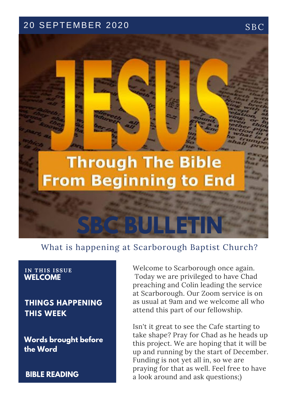## 20 SEPTEMBER 2020 SBC

# **Through The Bible From Beginning to End**

# What is happening at Scarborough Baptist Church?

**SBC BULLETIN**

#### **IN T H IS ISSUE WELCOME**

**THINGS HAPPENING THIS WEEK**

**Words brought before the Word**

**BIBLE READING**

Welcome to Scarborough once again. Today we are privileged to have Chad preaching and Colin leading the service at Scarborough. Our Zoom service is on as usual at 9am and we welcome all who attend this part of our fellowship.

Isn't it great to see the Cafe starting to take shape? Pray for Chad as he heads up this project. We are hoping that it will be up and running by the start of December. Funding is not yet all in, so we are praying for that as well. Feel free to have a look around and ask questions;)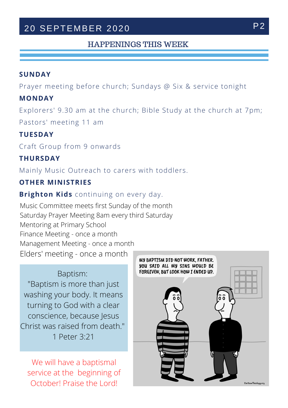# 20 SEPTEMBER 2020 P2

### HAPPENINGS THIS WEEK

#### **SUNDAY**

Prayer meeting before church; Sundays @ Six & service tonight

#### **MONDAY**

Explorers' 9.30 am at the church; Bible Study at the church at 7pm; Pastors' meeting 11 am

#### **TUESDAY**

Craft Group from 9 onwards

#### **THURSDAY**

Mainly Music Outreach to carers with toddlers.

#### **OTHER MINISTRIES**

**Brighton Kids** continuing on every day.

Music Committee meets first Sunday of the month Saturday Prayer Meeting 8am every third Saturday Mentoring at Primary School Finance Meeting - once a month Management Meeting - once a month Elders' meeting - once a month

Baptism: "Baptism is more than just washing your body. It means turning to God with a clear conscience, because Jesus Christ was raised from death." 1 Peter 3:21

We will have a baptismal service at the beginning of October! Praise the Lord!

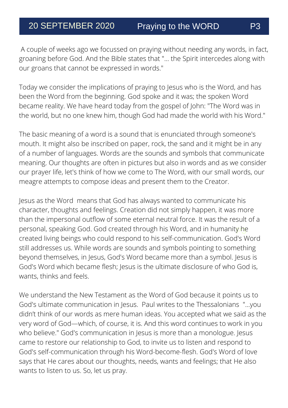A couple of weeks ago we focussed on praying without needing any words, in fact, groaning before God. And the Bible states that "... the Spirit intercedes along with our groans that cannot be expressed in words."

Today we consider the implications of praying to Jesus who is the Word, and has been the Word from the beginning. God spoke and it was; the spoken Word became reality. We have heard today from the gospel of John: "The Word was in the world, but no one knew him, though God had made the world with his Word."

The basic meaning of a word is a sound that is enunciated through someone's mouth. It might also be inscribed on paper, rock, the sand and it might be in any of a number of languages. Words are the sounds and symbols that communicate meaning. Our thoughts are often in pictures but also in words and as we consider our prayer life, let's think of how we come to The Word, with our small words, our meagre attempts to compose ideas and present them to the Creator.

personal, speaking God. God created through his Word, and in humanity he Jesus as the Word means that God has always wanted to communicate his character, thoughts and feelings. Creation did not simply happen, it was more than the impersonal outflow of some eternal neutral force. It was the result of a created living beings who could respond to his self-communication. God's Word still addresses us. While words are sounds and symbols pointing to something beyond themselves, in Jesus, God's Word became more than a symbol. Jesus is God's Word which became flesh; Jesus is the ultimate disclosure of who God is, wants, thinks and feels.

We understand the New Testament as the Word of God because it points us to God's ultimate communication in Jesus. Paul writes to the Thessalonians "...you didn't think of our words as mere human ideas. You accepted what we said as the very word of God—which, of course, it is. And this word continues to work in you who believe." God's communication in Jesus is more than a monologue. Jesus came to restore our relationship to God, to invite us to listen and respond to God's self-communication through his Word-become-flesh. God's Word of love says that He cares about our thoughts, needs, wants and feelings; that He also wants to listen to us. So, let us pray.